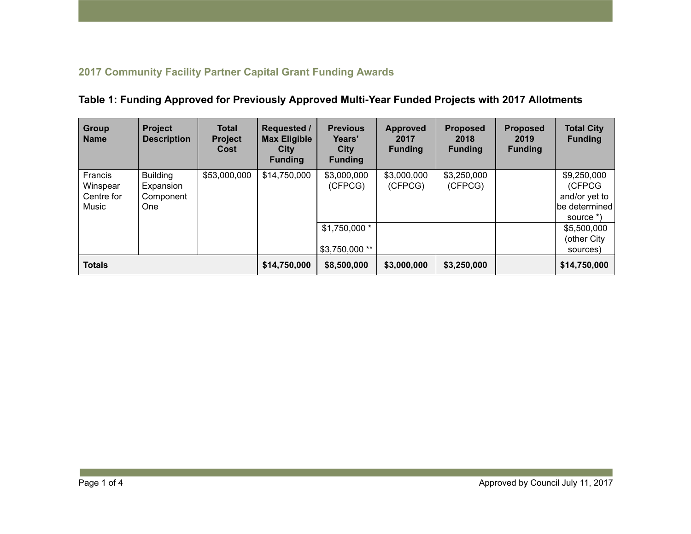## 2017 Community Facility Partner Capital Grant Funding Awards

| <b>Group</b><br><b>Name</b>                | <b>Project</b><br><b>Description</b>                    | <b>Total</b><br><b>Project</b><br>Cost | <b>Requested /</b><br><b>Max Eligible</b><br>City<br><b>Funding</b> | <b>Previous</b><br>Years'<br><b>City</b><br><b>Funding</b> | <b>Approved</b><br>2017<br><b>Funding</b> | <b>Proposed</b><br>2018<br><b>Funding</b> | <b>Proposed</b><br>2019<br><b>Funding</b> | <b>Total City</b><br><b>Funding</b>                                  |
|--------------------------------------------|---------------------------------------------------------|----------------------------------------|---------------------------------------------------------------------|------------------------------------------------------------|-------------------------------------------|-------------------------------------------|-------------------------------------------|----------------------------------------------------------------------|
| Francis<br>Winspear<br>Centre for<br>Music | <b>Building</b><br>Expansion<br>Component<br><b>One</b> | \$53,000,000                           | \$14,750,000                                                        | \$3,000,000<br>(CFPCG)                                     | \$3,000,000<br>(CFPCG)                    | \$3,250,000<br>(CFPCG)                    |                                           | \$9,250,000<br>(CFPCG<br>and/or yet to<br>be determined<br>source *) |
|                                            |                                                         |                                        |                                                                     | $$1,750,000*$<br>\$3,750,000 **                            |                                           |                                           |                                           | \$5,500,000<br>(other City<br>sources)                               |
| <b>Totals</b>                              |                                                         | \$14,750,000                           | \$8,500,000                                                         | \$3,000,000                                                | \$3,250,000                               |                                           | \$14,750,000                              |                                                                      |

## Table 1: Funding Approved for Previously Approved Multi-Year Funded Projects with 2017 Allotments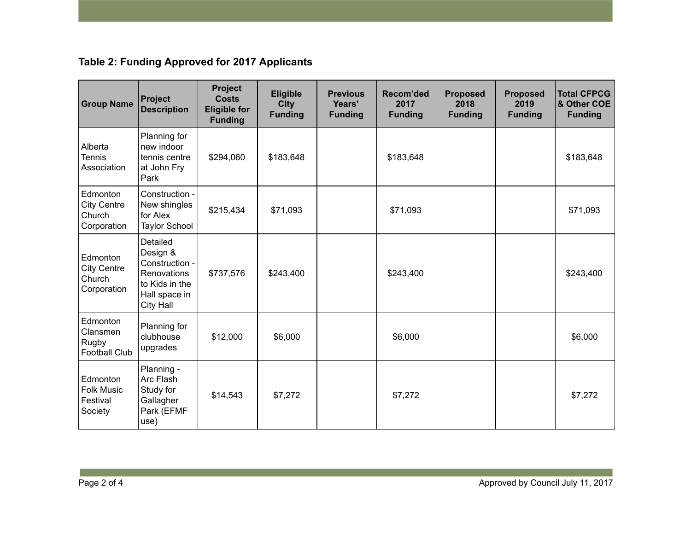## Table 2: Funding Approved for 2017 Applicants

| <b>Group Name</b>                                       | Project<br><b>Description</b>                                                                                | <b>Project</b><br><b>Costs</b><br><b>Eligible for</b><br><b>Funding</b> | Eligible<br><b>City</b><br><b>Funding</b> | <b>Previous</b><br>Years'<br><b>Funding</b> | <b>Recom'ded</b><br>2017<br><b>Funding</b> | <b>Proposed</b><br>2018<br><b>Funding</b> | <b>Proposed</b><br>2019<br><b>Funding</b> | <b>Total CFPCG</b><br>& Other COE<br><b>Funding</b> |
|---------------------------------------------------------|--------------------------------------------------------------------------------------------------------------|-------------------------------------------------------------------------|-------------------------------------------|---------------------------------------------|--------------------------------------------|-------------------------------------------|-------------------------------------------|-----------------------------------------------------|
| Alberta<br><b>Tennis</b><br>Association                 | Planning for<br>new indoor<br>tennis centre<br>at John Fry<br>Park                                           | \$294,060                                                               | \$183,648                                 |                                             | \$183,648                                  |                                           |                                           | \$183,648                                           |
| Edmonton<br><b>City Centre</b><br>Church<br>Corporation | Construction -<br>New shingles<br>for Alex<br><b>Taylor School</b>                                           | \$215,434                                                               | \$71,093                                  |                                             | \$71,093                                   |                                           |                                           | \$71,093                                            |
| Edmonton<br><b>City Centre</b><br>Church<br>Corporation | Detailed<br>Design &<br>Construction -<br>Renovations<br>to Kids in the<br>Hall space in<br><b>City Hall</b> | \$737,576                                                               | \$243,400                                 |                                             | \$243,400                                  |                                           |                                           | \$243,400                                           |
| Edmonton<br>Clansmen<br>Rugby<br><b>Football Club</b>   | Planning for<br>clubhouse<br>upgrades                                                                        | \$12,000                                                                | \$6,000                                   |                                             | \$6,000                                    |                                           |                                           | \$6,000                                             |
| Edmonton<br><b>Folk Music</b><br>Festival<br>Society    | Planning -<br>Arc Flash<br>Study for<br>Gallagher<br>Park (EFMF<br>use)                                      | \$14,543                                                                | \$7,272                                   |                                             | \$7,272                                    |                                           |                                           | \$7,272                                             |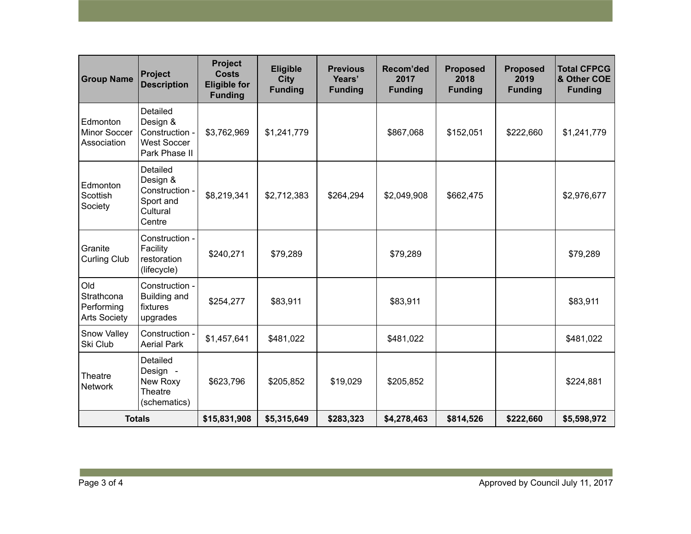| <b>Group Name</b>                                      | <b>Project</b><br><b>Description</b>                                          | <b>Project</b><br><b>Costs</b><br><b>Eligible for</b><br><b>Funding</b> | <b>Eligible</b><br><b>City</b><br><b>Funding</b> | <b>Previous</b><br>Years'<br><b>Funding</b> | Recom'ded<br>2017<br><b>Funding</b> | <b>Proposed</b><br>2018<br><b>Funding</b> | <b>Proposed</b><br>2019<br><b>Funding</b> | <b>Total CFPCG</b><br>& Other COE<br><b>Funding</b> |
|--------------------------------------------------------|-------------------------------------------------------------------------------|-------------------------------------------------------------------------|--------------------------------------------------|---------------------------------------------|-------------------------------------|-------------------------------------------|-------------------------------------------|-----------------------------------------------------|
| Edmonton<br><b>Minor Soccer</b><br>Association         | Detailed<br>Design &<br>Construction -<br><b>West Soccer</b><br>Park Phase II | \$3,762,969                                                             | \$1,241,779                                      |                                             | \$867,068                           | \$152,051                                 | \$222,660                                 | \$1,241,779                                         |
| Edmonton<br>Scottish<br>Society                        | Detailed<br>Design &<br>Construction -<br>Sport and<br>Cultural<br>Centre     | \$8,219,341                                                             | \$2,712,383                                      | \$264,294                                   | \$2,049,908                         | \$662,475                                 |                                           | \$2,976,677                                         |
| Granite<br><b>Curling Club</b>                         | Construction -<br>Facility<br>restoration<br>(lifecycle)                      | \$240,271                                                               | \$79,289                                         |                                             | \$79,289                            |                                           |                                           | \$79,289                                            |
| Old<br>Strathcona<br>Performing<br><b>Arts Society</b> | Construction -<br><b>Building and</b><br>fixtures<br>upgrades                 | \$254,277                                                               | \$83,911                                         |                                             | \$83,911                            |                                           |                                           | \$83,911                                            |
| <b>Snow Valley</b><br>Ski Club                         | Construction -<br><b>Aerial Park</b>                                          | \$1,457,641                                                             | \$481,022                                        |                                             | \$481,022                           |                                           |                                           | \$481,022                                           |
| Theatre<br><b>Network</b>                              | Detailed<br>Design -<br>New Roxy<br>Theatre<br>(schematics)                   | \$623,796                                                               | \$205,852                                        | \$19,029                                    | \$205,852                           |                                           |                                           | \$224,881                                           |
| <b>Totals</b>                                          |                                                                               | \$15,831,908                                                            | \$5,315,649                                      | \$283,323                                   | \$4,278,463                         | \$814,526                                 | \$222,660                                 | \$5,598,972                                         |